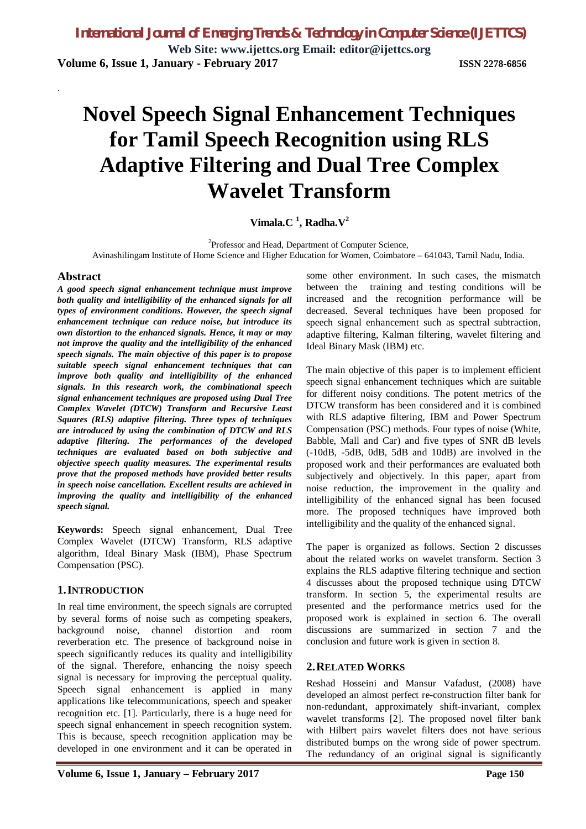**Web Site: www.ijettcs.org Email: editor@ijettcs.org Volume 6, Issue 1, January - February 2017 ISSN 2278-6856**

# **Novel Speech Signal Enhancement Techniques for Tamil Speech Recognition using RLS Adaptive Filtering and Dual Tree Complex Wavelet Transform**

### **Vimala.C <sup>1</sup> , Radha.V<sup>2</sup>**

<sup>2</sup>Professor and Head, Department of Computer Science, Avinashilingam Institute of Home Science and Higher Education for Women, Coimbatore – 641043, Tamil Nadu, India.

#### **Abstract**

.

*A good speech signal enhancement technique must improve both quality and intelligibility of the enhanced signals for all types of environment conditions. However, the speech signal enhancement technique can reduce noise, but introduce its own distortion to the enhanced signals. Hence, it may or may not improve the quality and the intelligibility of the enhanced speech signals. The main objective of this paper is to propose suitable speech signal enhancement techniques that can improve both quality and intelligibility of the enhanced signals. In this research work, the combinational speech signal enhancement techniques are proposed using Dual Tree Complex Wavelet (DTCW) Transform and Recursive Least Squares (RLS) adaptive filtering. Three types of techniques are introduced by using the combination of DTCW and RLS adaptive filtering. The performances of the developed techniques are evaluated based on both subjective and objective speech quality measures. The experimental results prove that the proposed methods have provided better results in speech noise cancellation. Excellent results are achieved in improving the quality and intelligibility of the enhanced speech signal.*

**Keywords:** Speech signal enhancement, Dual Tree Complex Wavelet (DTCW) Transform, RLS adaptive algorithm, Ideal Binary Mask (IBM), Phase Spectrum Compensation (PSC).

#### **1.INTRODUCTION**

In real time environment, the speech signals are corrupted by several forms of noise such as competing speakers, background noise, channel distortion and room reverberation etc. The presence of background noise in speech significantly reduces its quality and intelligibility of the signal. Therefore, enhancing the noisy speech signal is necessary for improving the perceptual quality. Speech signal enhancement is applied in many applications like telecommunications, speech and speaker recognition etc. [1]. Particularly, there is a huge need for speech signal enhancement in speech recognition system. This is because, speech recognition application may be developed in one environment and it can be operated in

**Volume 6, Issue 1, January – February 2017 Page 150**

some other environment. In such cases, the mismatch between the training and testing conditions will be increased and the recognition performance will be decreased. Several techniques have been proposed for speech signal enhancement such as spectral subtraction, adaptive filtering, Kalman filtering, wavelet filtering and Ideal Binary Mask (IBM) etc.

The main objective of this paper is to implement efficient speech signal enhancement techniques which are suitable for different noisy conditions. The potent metrics of the DTCW transform has been considered and it is combined with RLS adaptive filtering, IBM and Power Spectrum Compensation (PSC) methods. Four types of noise (White, Babble, Mall and Car) and five types of SNR dB levels (-10dB, -5dB, 0dB, 5dB and 10dB) are involved in the proposed work and their performances are evaluated both subjectively and objectively. In this paper, apart from noise reduction, the improvement in the quality and intelligibility of the enhanced signal has been focused more. The proposed techniques have improved both intelligibility and the quality of the enhanced signal.

The paper is organized as follows. Section 2 discusses about the related works on wavelet transform. Section 3 explains the RLS adaptive filtering technique and section 4 discusses about the proposed technique using DTCW transform. In section 5, the experimental results are presented and the performance metrics used for the proposed work is explained in section 6. The overall discussions are summarized in section 7 and the conclusion and future work is given in section 8.

### **2.RELATED WORKS**

Reshad Hosseini and Mansur Vafadust, (2008) have developed an almost perfect re-construction filter bank for non-redundant, approximately shift-invariant, complex wavelet transforms [2]. The proposed novel filter bank with Hilbert pairs wavelet filters does not have serious distributed bumps on the wrong side of power spectrum. The redundancy of an original signal is significantly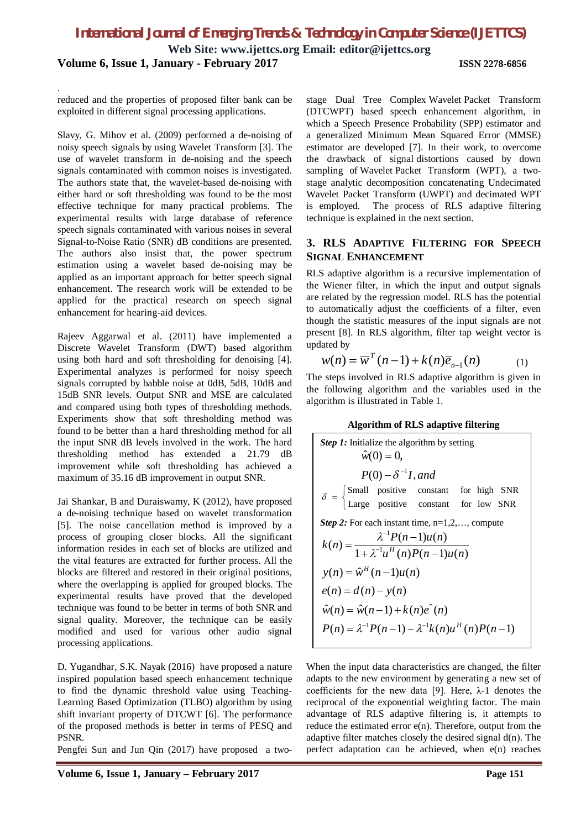**Web Site: www.ijettcs.org Email: editor@ijettcs.org**

**Volume 6, Issue 1, January - February 2017 ISSN 2278-6856**

.

reduced and the properties of proposed filter bank can be exploited in different signal processing applications.

Slavy, G. Mihov et al. (2009) performed a de-noising of noisy speech signals by using Wavelet Transform [3]. The use of wavelet transform in de-noising and the speech signals contaminated with common noises is investigated. The authors state that, the wavelet-based de-noising with either hard or soft thresholding was found to be the most effective technique for many practical problems. The experimental results with large database of reference speech signals contaminated with various noises in several Signal-to-Noise Ratio (SNR) dB conditions are presented. The authors also insist that, the power spectrum estimation using a wavelet based de-noising may be applied as an important approach for better speech signal enhancement. The research work will be extended to be applied for the practical research on speech signal enhancement for hearing-aid devices.

Rajeev Aggarwal et al. (2011) have implemented a Discrete Wavelet Transform (DWT) based algorithm using both hard and soft thresholding for denoising [4]. Experimental analyzes is performed for noisy speech signals corrupted by babble noise at 0dB, 5dB, 10dB and 15dB SNR levels. Output SNR and MSE are calculated and compared using both types of thresholding methods. Experiments show that soft thresholding method was found to be better than a hard thresholding method for all the input SNR dB levels involved in the work. The hard thresholding method has extended a 21.79 dB improvement while soft thresholding has achieved a maximum of 35.16 dB improvement in output SNR.

Jai Shankar, B and Duraiswamy, K (2012), have proposed a de-noising technique based on wavelet transformation [5]. The noise cancellation method is improved by a process of grouping closer blocks. All the significant information resides in each set of blocks are utilized and the vital features are extracted for further process. All the blocks are filtered and restored in their original positions, where the overlapping is applied for grouped blocks. The experimental results have proved that the developed technique was found to be better in terms of both SNR and signal quality. Moreover, the technique can be easily modified and used for various other audio signal processing applications.

D. Yugandhar, S.K. Nayak (2016) have proposed a nature inspired population based speech enhancement technique to find the dynamic threshold value using Teaching-Learning Based Optimization (TLBO) algorithm by using shift invariant property of DTCWT [6]. The performance of the proposed methods is better in terms of PESQ and PSNR.

Pengfei Sun and Jun Qin (2017) have proposed a two-

stage Dual Tree Complex Wavelet Packet Transform (DTCWPT) based speech enhancement algorithm, in which a Speech Presence Probability (SPP) estimator and a generalized Minimum Mean Squared Error (MMSE) estimator are developed [7]. In their work, to overcome the drawback of signal distortions caused by down sampling of Wavelet Packet Transform (WPT), a twostage analytic decomposition concatenating Undecimated Wavelet Packet Transform (UWPT) and decimated WPT is employed. The process of RLS adaptive filtering technique is explained in the next section.

#### **3. RLS ADAPTIVE FILTERING FOR SPEECH SIGNAL ENHANCEMENT**

RLS adaptive algorithm is a recursive implementation of the Wiener filter, in which the input and output signals are related by the regression model. RLS has the potential to automatically adjust the coefficients of a filter, even though the statistic measures of the input signals are not present [8]. In RLS algorithm, filter tap weight vector is updated by

$$
w(n) = \overline{w}^T(n-1) + k(n)\overline{e}_{n-1}(n) \tag{1}
$$

The steps involved in RLS adaptive algorithm is given in the following algorithm and the variables used in the algorithm is illustrated in Table 1.

| <b>Algorithm of RLS adaptive filtering</b> |  |  |
|--------------------------------------------|--|--|
|--------------------------------------------|--|--|

Step 1: Initialize the algorithm by setting  
\n
$$
\hat{w}(0) = 0
$$
,  
\n $P(0) - \delta^{-1}I$ , and  
\n $\delta = \begin{cases}\n\text{Small positive constant} & \text{for high SNR} \\
\text{Large positive constant} & \text{for low SNR}\n\end{cases}$   
\nStep 2: For each instant time, n=1,2,..., compute  
\n
$$
k(n) = \frac{\lambda^{-1}P(n-1)u(n)}{1 + \lambda^{-1}u^{H}(n)P(n-1)u(n)}
$$
\n
$$
y(n) = \hat{w}^{H}(n-1)u(n)
$$
\n
$$
e(n) = d(n) - y(n)
$$
\n
$$
\hat{w}(n) = \hat{w}(n-1) + k(n)e^{*}(n)
$$
\n
$$
P(n) = \lambda^{-1}P(n-1) - \lambda^{-1}k(n)u^{H}(n)P(n-1)
$$

When the input data characteristics are changed, the filter adapts to the new environment by generating a new set of coefficients for the new data [9]. Here,  $\lambda$ -1 denotes the reciprocal of the exponential weighting factor. The main advantage of RLS adaptive filtering is, it attempts to reduce the estimated error e(n). Therefore, output from the adaptive filter matches closely the desired signal  $d(n)$ . The perfect adaptation can be achieved, when e(n) reaches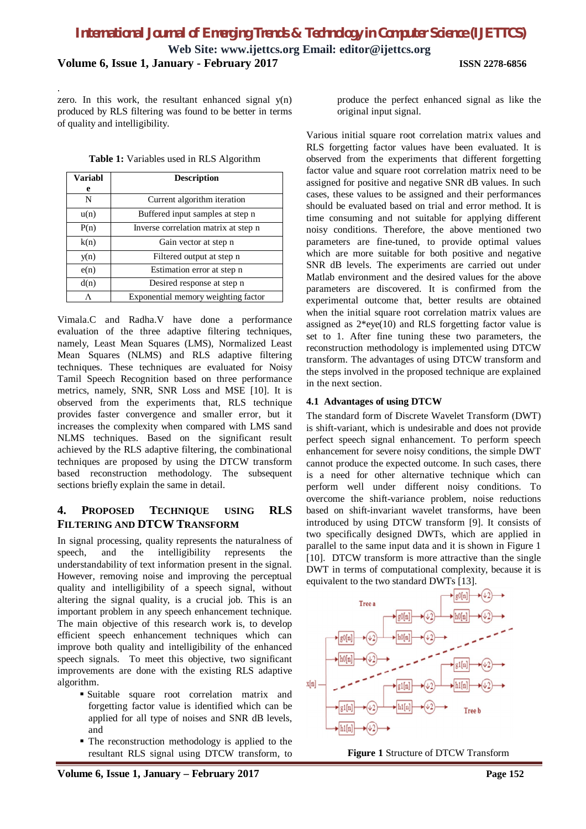**Web Site: www.ijettcs.org Email: editor@ijettcs.org**

**Volume 6, Issue 1, January - February 2017 ISSN 2278-6856**

.

zero. In this work, the resultant enhanced signal y(n) produced by RLS filtering was found to be better in terms of quality and intelligibility.

|   | Table 1: Variables used in RLS Algorithm |
|---|------------------------------------------|
| . |                                          |

| <b>Variabl</b> | <b>Description</b>                   |  |  |  |  |  |  |
|----------------|--------------------------------------|--|--|--|--|--|--|
| e              |                                      |  |  |  |  |  |  |
| N              | Current algorithm iteration          |  |  |  |  |  |  |
| u(n)           | Buffered input samples at step n     |  |  |  |  |  |  |
| P(n)           | Inverse correlation matrix at step n |  |  |  |  |  |  |
| k(n)           | Gain vector at step n                |  |  |  |  |  |  |
| y(n)           | Filtered output at step n            |  |  |  |  |  |  |
| e(n)           | Estimation error at step n           |  |  |  |  |  |  |
| d(n)           | Desired response at step n           |  |  |  |  |  |  |
| Λ              | Exponential memory weighting factor  |  |  |  |  |  |  |

Vimala.C and Radha.V have done a performance evaluation of the three adaptive filtering techniques, namely, Least Mean Squares (LMS), Normalized Least Mean Squares (NLMS) and RLS adaptive filtering techniques. These techniques are evaluated for Noisy Tamil Speech Recognition based on three performance metrics, namely, SNR, SNR Loss and MSE [10]. It is observed from the experiments that, RLS technique provides faster convergence and smaller error, but it increases the complexity when compared with LMS sand NLMS techniques. Based on the significant result achieved by the RLS adaptive filtering, the combinational techniques are proposed by using the DTCW transform based reconstruction methodology. The subsequent sections briefly explain the same in detail.

### **4. PROPOSED TECHNIQUE USING RLS FILTERING AND DTCW TRANSFORM**

In signal processing, quality represents the naturalness of speech, and the intelligibility represents the understandability of text information present in the signal. However, removing noise and improving the perceptual quality and intelligibility of a speech signal, without altering the signal quality, is a crucial job. This is an important problem in any speech enhancement technique. The main objective of this research work is, to develop efficient speech enhancement techniques which can improve both quality and intelligibility of the enhanced speech signals. To meet this objective, two significant improvements are done with the existing RLS adaptive algorithm.

- Suitable square root correlation matrix and forgetting factor value is identified which can be applied for all type of noises and SNR dB levels, and
- The reconstruction methodology is applied to the resultant RLS signal using DTCW transform, to

produce the perfect enhanced signal as like the original input signal.

Various initial square root correlation matrix values and RLS forgetting factor values have been evaluated. It is observed from the experiments that different forgetting factor value and square root correlation matrix need to be assigned for positive and negative SNR dB values. In such cases, these values to be assigned and their performances should be evaluated based on trial and error method. It is time consuming and not suitable for applying different noisy conditions. Therefore, the above mentioned two parameters are fine-tuned, to provide optimal values which are more suitable for both positive and negative SNR dB levels. The experiments are carried out under Matlab environment and the desired values for the above parameters are discovered. It is confirmed from the experimental outcome that, better results are obtained when the initial square root correlation matrix values are assigned as  $2*eye(10)$  and RLS forgetting factor value is set to 1. After fine tuning these two parameters, the reconstruction methodology is implemented using DTCW transform. The advantages of using DTCW transform and the steps involved in the proposed technique are explained in the next section.

### **4.1 Advantages of using DTCW**

The standard form of Discrete Wavelet Transform (DWT) is shift-variant, which is undesirable and does not provide perfect speech signal enhancement. To perform speech enhancement for severe noisy conditions, the simple DWT cannot produce the expected outcome. In such cases, there is a need for other alternative technique which can perform well under different noisy conditions. To overcome the shift-variance problem, noise reductions based on shift-invariant wavelet transforms, have been introduced by using DTCW transform [9]. It consists of two specifically designed DWTs, which are applied in parallel to the same input data and it is shown in Figure 1 [10]. DTCW transform is more attractive than the single DWT in terms of computational complexity, because it is equivalent to the two standard DWTs [13].



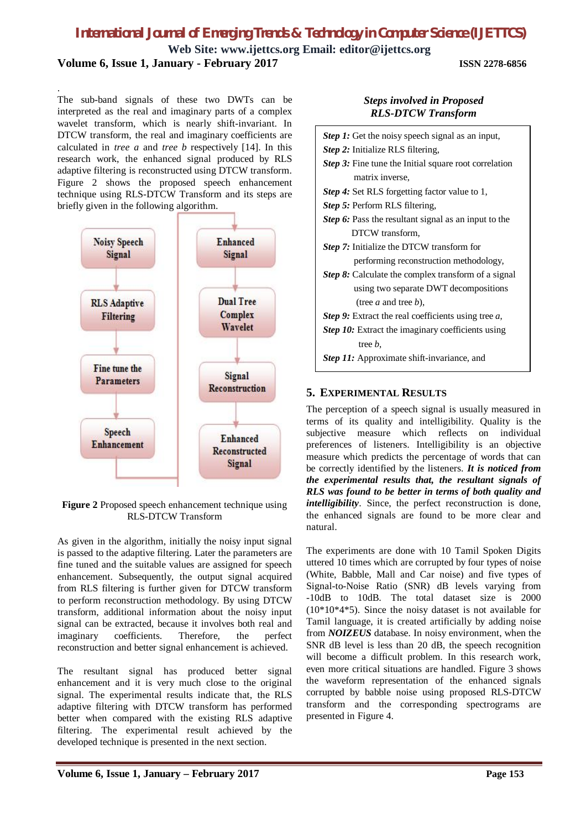**Web Site: www.ijettcs.org Email: editor@ijettcs.org**

**Volume 6, Issue 1, January - February 2017 ISSN 2278-6856**

The sub-band signals of these two DWTs can be interpreted as the real and imaginary parts of a complex wavelet transform, which is nearly shift-invariant. In DTCW transform, the real and imaginary coefficients are calculated in *tree a* and *tree b* respectively [14]. In this research work, the enhanced signal produced by RLS adaptive filtering is reconstructed using DTCW transform. Figure 2 shows the proposed speech enhancement technique using RLS-DTCW Transform and its steps are briefly given in the following algorithm.

.



**Figure 2** Proposed speech enhancement technique using RLS-DTCW Transform

As given in the algorithm, initially the noisy input signal is passed to the adaptive filtering. Later the parameters are fine tuned and the suitable values are assigned for speech enhancement. Subsequently, the output signal acquired from RLS filtering is further given for DTCW transform to perform reconstruction methodology. By using DTCW transform, additional information about the noisy input signal can be extracted, because it involves both real and imaginary coefficients. Therefore, the perfect reconstruction and better signal enhancement is achieved.

The resultant signal has produced better signal enhancement and it is very much close to the original signal. The experimental results indicate that, the RLS adaptive filtering with DTCW transform has performed better when compared with the existing RLS adaptive filtering. The experimental result achieved by the developed technique is presented in the next section.

|                           | <b>Steps involved in Proposed</b> |
|---------------------------|-----------------------------------|
| <b>RLS-DTCW Transform</b> |                                   |

| <b>Step 1:</b> Get the noisy speech signal as an input,    |
|------------------------------------------------------------|
| Step 2: Initialize RLS filtering,                          |
| Step 3: Fine tune the Initial square root correlation      |
| matrix inverse,                                            |
| <b>Step 4:</b> Set RLS forgetting factor value to 1,       |
| <i>Step 5:</i> Perform RLS filtering,                      |
| Step 6: Pass the resultant signal as an input to the       |
| DTCW transform,                                            |
| Step 7: Initialize the DTCW transform for                  |
| performing reconstruction methodology,                     |
| <b>Step 8:</b> Calculate the complex transform of a signal |
| using two separate DWT decompositions                      |
| (tree <i>a</i> and tree <i>b</i> ),                        |
| Step 9: Extract the real coefficients using tree a,        |
| Step 10: Extract the imaginary coefficients using          |
| tree <i>b</i> .                                            |
| <b>Step 11:</b> Approximate shift-invariance, and          |
|                                                            |

### **5. EXPERIMENTAL RESULTS**

The perception of a speech signal is usually measured in terms of its quality and intelligibility. Quality is the subjective measure which reflects on individual preferences of listeners. Intelligibility is an objective measure which predicts the percentage of words that can be correctly identified by the listeners. *It is noticed from the experimental results that, the resultant signals of RLS was found to be better in terms of both quality and intelligibility*. Since, the perfect reconstruction is done, the enhanced signals are found to be more clear and natural.

The experiments are done with 10 Tamil Spoken Digits uttered 10 times which are corrupted by four types of noise (White, Babble, Mall and Car noise) and five types of Signal-to-Noise Ratio (SNR) dB levels varying from -10dB to 10dB. The total dataset size is 2000 (10\*10\*4\*5). Since the noisy dataset is not available for Tamil language, it is created artificially by adding noise from *NOIZEUS* database. In noisy environment, when the SNR dB level is less than 20 dB, the speech recognition will become a difficult problem. In this research work, even more critical situations are handled. Figure 3 shows the waveform representation of the enhanced signals corrupted by babble noise using proposed RLS-DTCW transform and the corresponding spectrograms are presented in Figure 4.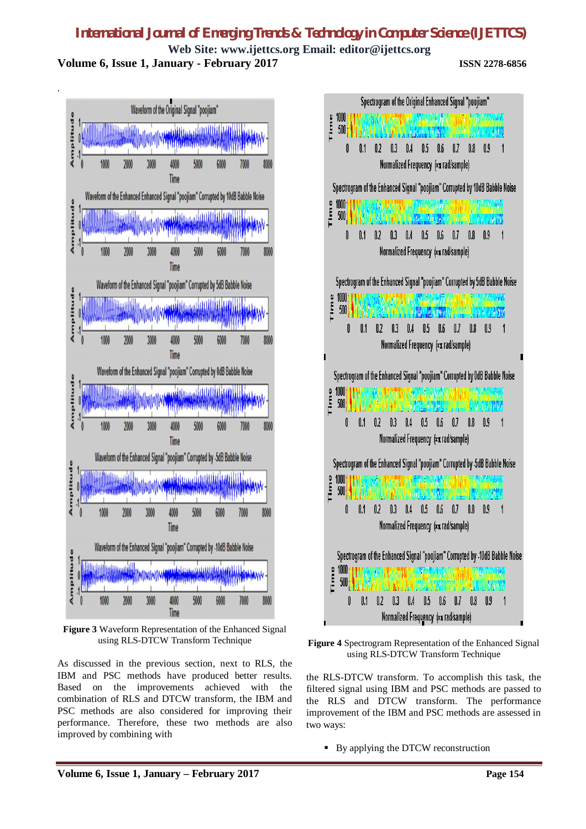**Web Site: www.ijettcs.org Email: editor@ijettcs.org Volume 6, Issue 1, January - February 2017 ISSN 2278-6856**



**Figure 3** Waveform Representation of the Enhanced Signal using RLS-DTCW Transform Technique

As discussed in the previous section, next to RLS, the IBM and PSC methods have produced better results. Based on the improvements achieved with the combination of RLS and DTCW transform, the IBM and PSC methods are also considered for improving their performance. Therefore, these two methods are also improved by combining with





the RLS-DTCW transform. To accomplish this task, the filtered signal using IBM and PSC methods are passed to the RLS and DTCW transform. The performance improvement of the IBM and PSC methods are assessed in two ways:

By applying the DTCW reconstruction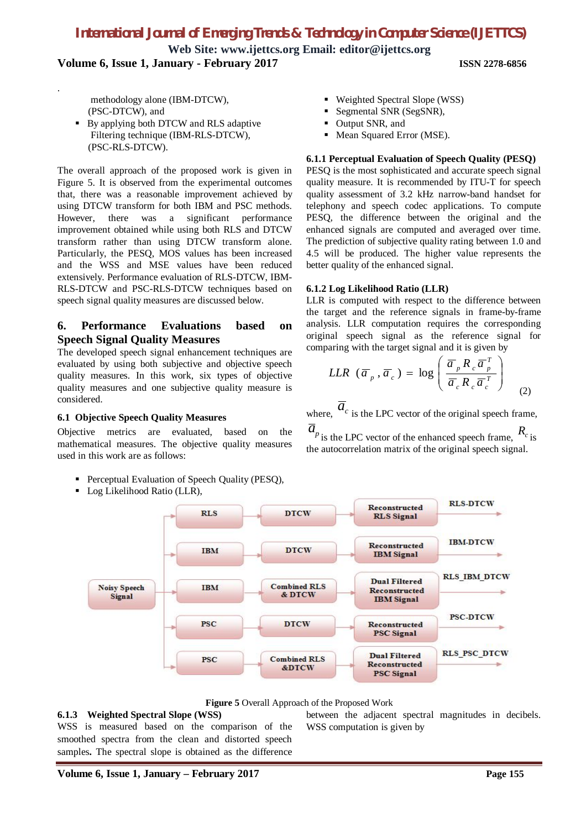**Web Site: www.ijettcs.org Email: editor@ijettcs.org Volume 6, Issue 1, January - February 2017 ISSN 2278-6856**

 methodology alone (IBM-DTCW), (PSC-DTCW), and

.

By applying both DTCW and RLS adaptive Filtering technique (IBM-RLS-DTCW), (PSC-RLS-DTCW).

The overall approach of the proposed work is given in Figure 5. It is observed from the experimental outcomes that, there was a reasonable improvement achieved by using DTCW transform for both IBM and PSC methods. However, there was a significant performance improvement obtained while using both RLS and DTCW transform rather than using DTCW transform alone. Particularly, the PESQ, MOS values has been increased and the WSS and MSE values have been reduced extensively. Performance evaluation of RLS-DTCW, IBM-RLS-DTCW and PSC-RLS-DTCW techniques based on speech signal quality measures are discussed below.

### **6. Performance Evaluations based on Speech Signal Quality Measures**

The developed speech signal enhancement techniques are evaluated by using both subjective and objective speech quality measures. In this work, six types of objective quality measures and one subjective quality measure is considered.

#### **6.1 Objective Speech Quality Measures**

Objective metrics are evaluated, based on the mathematical measures. The objective quality measures used in this work are as follows:

- **Perceptual Evaluation of Speech Quality (PESQ),**
- Log Likelihood Ratio (LLR),
- Weighted Spectral Slope (WSS)
- Segmental SNR (SegSNR),
- Output SNR, and
- Mean Squared Error (MSE).

#### **6.1.1 Perceptual Evaluation of Speech Quality (PESQ)**

PESQ is the most sophisticated and accurate speech signal quality measure. It is recommended by ITU-T for speech quality assessment of 3.2 kHz narrow-band handset for telephony and speech codec applications. To compute PESQ, the difference between the original and the enhanced signals are computed and averaged over time. The prediction of subjective quality rating between 1.0 and 4.5 will be produced. The higher value represents the better quality of the enhanced signal.

#### **6.1.2 Log Likelihood Ratio (LLR)**

LLR is computed with respect to the difference between the target and the reference signals in frame-by-frame analysis. LLR computation requires the corresponding original speech signal as the reference signal for comparing with the target signal and it is given by

$$
LLR \, (\overline{a}_p, \overline{a}_c) = \log \left( \frac{\overline{a}_p R_c \overline{a}_p^T}{\overline{a}_c R_c \overline{a}_c^T} \right) \tag{2}
$$

where,  $\overline{a}_c$  is the LPC vector of the original speech frame,

 $\overline{a}$ <sup>*p*</sup> is the LPC vector of the enhanced speech frame,  $R_c$  is the autocorrelation matrix of the original speech signal.



**Figure 5** Overall Approach of the Proposed Work

#### **6.1.3 Weighted Spectral Slope (WSS)**

WSS is measured based on the comparison of the smoothed spectra from the clean and distorted speech samples**.** The spectral slope is obtained as the difference

between the adjacent spectral magnitudes in decibels. WSS computation is given by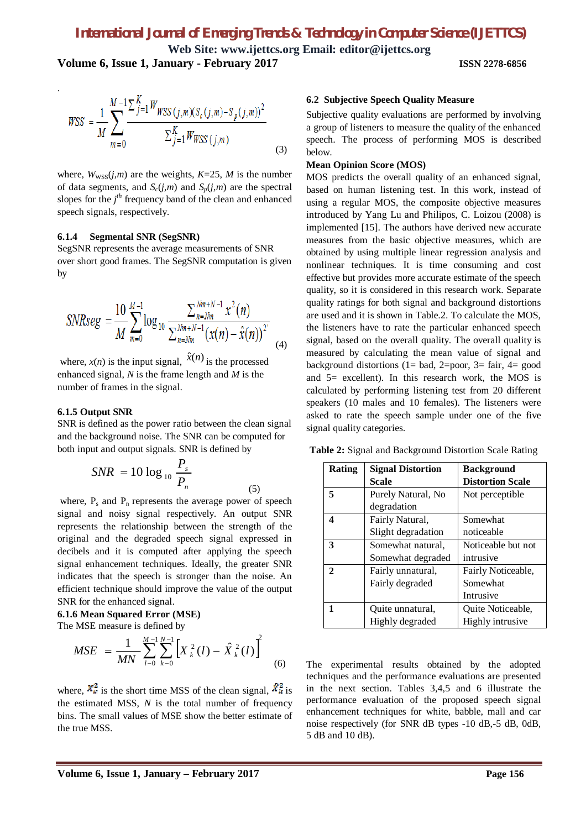**Volume 6, Issue 1, January - February 2017 ISSN 2278-6856**

$$
WSS = \frac{1}{M} \sum_{m=0}^{M-1} \frac{\sum_{j=1}^{K} W_{WSS}(j,m)(S_c(j,m) - S_p(j,m))^2}{\sum_{j=1}^{K} W_{WSS}(j,m)}
$$
(3)

where,  $W_{\text{WSS}}(j,m)$  are the weights,  $K=25$ ,  $M$  is the number of data segments, and  $S_c(j,m)$  and  $S_p(j,m)$  are the spectral slopes for the *j th* frequency band of the clean and enhanced speech signals, respectively.

#### **6.1.4 Segmental SNR (SegSNR)**

.

SegSNR represents the average measurements of SNR over short good frames. The SegSNR computation is given by

$$
SNRseg = \frac{10}{M} \sum_{m=0}^{M-1} \log_{10} \frac{\sum_{n=Nm}^{Nm+N-1} x^2(n)}{\sum_{n=Nm}^{Nm+N-1} (x(n) - \hat{x}(n))^2}
$$
(4)

where,  $x(n)$  is the input signal,  $\hat{x}(n)$  is the processed enhanced signal, *N* is the frame length and *M* is the number of frames in the signal.

#### **6.1.5 Output SNR**

SNR is defined as the power ratio between the clean signal and the background noise. The SNR can be computed for both input and output signals. SNR is defined by

$$
SNR = 10 \log_{10} \frac{P_s}{P_n}
$$
 (5)

where,  $P_s$  and  $P_n$  represents the average power of speech signal and noisy signal respectively. An output SNR represents the relationship between the strength of the original and the degraded speech signal expressed in decibels and it is computed after applying the speech signal enhancement techniques. Ideally, the greater SNR indicates that the speech is stronger than the noise. An efficient technique should improve the value of the output SNR for the enhanced signal.

#### **6.1.6 Mean Squared Error (MSE)** The MSE measure is defined by

$$
MSE = \frac{1}{MN} \sum_{l=0}^{M-1} \sum_{k=0}^{N-1} \left[ X_k^2(l) - \hat{X}_k^2(l) \right]^2 \tag{6}
$$

where,  $\overline{X_k^2}$  is the short time MSS of the clean signal,  $\overline{X_k^2}$  is the estimated MSS, *N* is the total number of frequency bins. The small values of MSE show the better estimate of the true MSS.

#### **6.2 Subjective Speech Quality Measure**

Subjective quality evaluations are performed by involving a group of listeners to measure the quality of the enhanced speech. The process of performing MOS is described below.

#### **Mean Opinion Score (MOS)**

MOS predicts the overall quality of an enhanced signal, based on human listening test. In this work, instead of using a regular MOS, the composite objective measures introduced by Yang Lu and Philipos, C. Loizou (2008) is implemented [15]. The authors have derived new accurate measures from the basic objective measures, which are obtained by using multiple linear regression analysis and nonlinear techniques. It is time consuming and cost effective but provides more accurate estimate of the speech quality, so it is considered in this research work. Separate quality ratings for both signal and background distortions are used and it is shown in Table.2. To calculate the MOS, the listeners have to rate the particular enhanced speech signal, based on the overall quality. The overall quality is measured by calculating the mean value of signal and background distortions (1= bad, 2=poor, 3= fair, 4= good and 5= excellent). In this research work, the MOS is calculated by performing listening test from 20 different speakers (10 males and 10 females). The listeners were asked to rate the speech sample under one of the five signal quality categories.

**Table 2:** Signal and Background Distortion Scale Rating

| Rating | <b>Signal Distortion</b> | <b>Background</b>       |
|--------|--------------------------|-------------------------|
|        | Scale                    | <b>Distortion Scale</b> |
| 5      | Purely Natural, No.      | Not perceptible         |
|        | degradation              |                         |
| 4      | Fairly Natural,          | Somewhat                |
|        | Slight degradation       | noticeable              |
| 3      | Somewhat natural,        | Noticeable but not      |
|        | Somewhat degraded        | intrusive               |
| 2.     | Fairly unnatural,        | Fairly Noticeable,      |
|        | Fairly degraded          | Somewhat                |
|        |                          | Intrusive               |
| 1      | Ouite unnatural.         | Quite Noticeable,       |
|        | Highly degraded          | Highly intrusive        |

The experimental results obtained by the adopted techniques and the performance evaluations are presented in the next section. Tables 3,4,5 and 6 illustrate the performance evaluation of the proposed speech signal enhancement techniques for white, babble, mall and car noise respectively (for SNR dB types -10 dB,-5 dB, 0dB, 5 dB and 10 dB).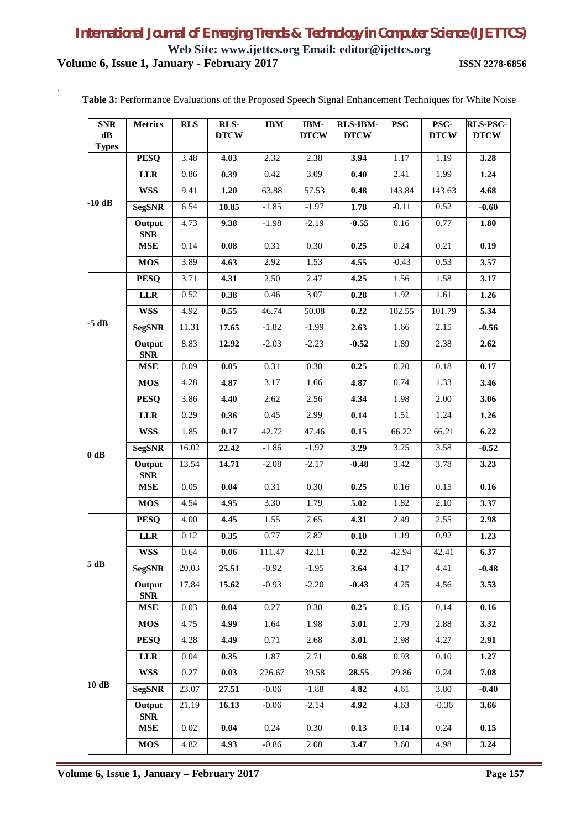### *International Journal of Emerging Trends & Technology in Computer Science (IJETTCS)* **Web Site: www.ijettcs.org Email: editor@ijettcs.org**

**Volume 6, Issue 1, January - February 2017 ISSN 2278-6856**

.

| <b>SNR</b><br>$\mathbf{dB}$<br><b>Types</b> | <b>Metrics</b>       | <b>RLS</b> | RLS-<br><b>DTCW</b> | <b>IBM</b> | IBM-<br><b>DTCW</b> | <b>RLS-IBM-</b><br><b>DTCW</b> | <b>PSC</b> | PSC-<br><b>DTCW</b> | <b>RLS-PSC-</b><br><b>DTCW</b> |
|---------------------------------------------|----------------------|------------|---------------------|------------|---------------------|--------------------------------|------------|---------------------|--------------------------------|
|                                             | <b>PESQ</b>          | 3.48       | 4.03                | 2.32       | 2.38                | 3.94                           | 1.17       | 1.19                | 3.28                           |
|                                             | <b>LLR</b>           | 0.86       | 0.39                | 0.42       | 3.09                | 0.40                           | 2.41       | 1.99                | 1.24                           |
|                                             | <b>WSS</b>           | 9.41       | 1.20                | 63.88      | 57.53               | 0.48                           | 143.84     | 143.63              | 4.68                           |
| $-10$ dB                                    | <b>SegSNR</b>        | 6.54       | 10.85               | $-1.85$    | $-1.97$             | 1.78                           | $-0.11$    | 0.52                | $-0.60$                        |
|                                             | Output<br><b>SNR</b> | 4.73       | 9.38                | $-1.98$    | $-2.19$             | $-0.55$                        | 0.16       | 0.77                | 1.80                           |
|                                             | <b>MSE</b>           | 0.14       | 0.08                | 0.31       | 0.30                | 0.25                           | 0.24       | 0.21                | 0.19                           |
|                                             | <b>MOS</b>           | 3.89       | 4.63                | 2.92       | 1.53                | 4.55                           | $-0.43$    | 0.53                | 3.57                           |
|                                             | <b>PESQ</b>          | 3.71       | 4.31                | 2.50       | 2.47                | 4.25                           | 1.56       | 1.58                | 3.17                           |
|                                             | <b>LLR</b>           | 0.52       | 0.38                | 0.46       | 3.07                | 0.28                           | 1.92       | 1.61                | 1.26                           |
|                                             | <b>WSS</b>           | 4.92       | 0.55                | 46.74      | 50.08               | 0.22                           | 102.55     | 101.79              | 5.34                           |
| $-5$ dB                                     | <b>SegSNR</b>        | 11.31      | 17.65               | $-1.82$    | $-1.99$             | 2.63                           | 1.66       | 2.15                | $-0.56$                        |
|                                             | Output<br><b>SNR</b> | 8.83       | 12.92               | $-2.03$    | $-2.23$             | $-0.52$                        | 1.89       | 2.38                | 2.62                           |
|                                             | MSE                  | 0.09       | 0.05                | 0.31       | 0.30                | 0.25                           | 0.20       | 0.18                | 0.17                           |
|                                             | <b>MOS</b>           | 4.28       | 4.87                | 3.17       | 1.66                | 4.87                           | 0.74       | 1.33                | 3.46                           |
|                                             | <b>PESQ</b>          | 3.86       | 4.40                | 2.62       | 2.56                | 4.34                           | 1.98       | 2.00                | 3.06                           |
|                                             | <b>LLR</b>           | 0.29       | 0.36                | 0.45       | 2.99                | 0.14                           | 1.51       | 1.24                | 1.26                           |
|                                             | <b>WSS</b>           | 1.85       | 0.17                | 42.72      | 47.46               | 0.15                           | 66.22      | 66.21               | 6.22                           |
| $0$ dB                                      | <b>SegSNR</b>        | 16.02      | 22.42               | $-1.86$    | $-1.92$             | 3.29                           | 3.25       | 3.58                | $-0.52$                        |
|                                             | Output<br><b>SNR</b> | 13.54      | 14.71               | $-2.08$    | $-2.17$             | $-0.48$                        | 3.42       | 3.78                | 3.23                           |
|                                             | <b>MSE</b>           | 0.05       | 0.04                | 0.31       | $0.30\,$            | 0.25                           | 0.16       | 0.15                | 0.16                           |
|                                             | <b>MOS</b>           | 4.54       | 4.95                | 3.30       | 1.79                | 5.02                           | 1.82       | 2.10                | 3.37                           |
|                                             | <b>PESQ</b>          | 4.00       | 4.45                | 1.55       | 2.65                | 4.31                           | 2.49       | 2.55                | 2.98                           |
|                                             | <b>LLR</b>           | 0.12       | 0.35                | 0.77       | 2.82                | 0.10                           | 1.19       | 0.92                | 1.23                           |
|                                             | <b>WSS</b>           | 0.64       | 0.06                | 111.47     | 42.11               | 0.22                           | 42.94      | 42.41               | 6.37                           |
| 5 dB                                        | <b>SegSNR</b>        | 20.03      | 25.51               | $-0.92$    | $-1.95$             | 3.64                           | 4.17       | 4.41                | $-0.48$                        |
|                                             | Output<br><b>SNR</b> | 17.84      | 15.62               | $-0.93$    | $-2.20$             | $-0.43$                        | 4.25       | 4.56                | 3.53                           |
|                                             | <b>MSE</b>           | 0.03       | 0.04                | 0.27       | 0.30                | 0.25                           | 0.15       | 0.14                | 0.16                           |
|                                             | <b>MOS</b>           | 4.75       | 4.99                | 1.64       | 1.98                | 5.01                           | 2.79       | 2.88                | 3.32                           |
|                                             | <b>PESQ</b>          | 4.28       | 4.49                | 0.71       | 2.68                | 3.01                           | 2.98       | 4.27                | 2.91                           |
|                                             | <b>LLR</b>           | 0.04       | 0.35                | 1.87       | 2.71                | 0.68                           | 0.93       | 0.10                | 1.27                           |
|                                             | <b>WSS</b>           | 0.27       | 0.03                | 226.67     | 39.58               | 28.55                          | 29.86      | 0.24                | 7.08                           |
| 10 dB                                       | <b>SegSNR</b>        | 23.07      | 27.51               | $-0.06$    | $-1.88$             | 4.82                           | 4.61       | 3.80                | $-0.40$                        |
|                                             | Output<br><b>SNR</b> | 21.19      | 16.13               | $-0.06$    | $-2.14$             | 4.92                           | 4.63       | $-0.36$             | 3.66                           |
|                                             | <b>MSE</b>           | 0.02       | 0.04                | 0.24       | 0.30                | 0.13                           | 0.14       | 0.24                | 0.15                           |
|                                             | <b>MOS</b>           | 4.82       | 4.93                | $-0.86$    | 2.08                | 3.47                           | 3.60       | 4.98                | 3.24                           |

**Table 3:** Performance Evaluations of the Proposed Speech Signal Enhancement Techniques for White Noise

**Volume 6, Issue 1, January – February 2017 Page 157**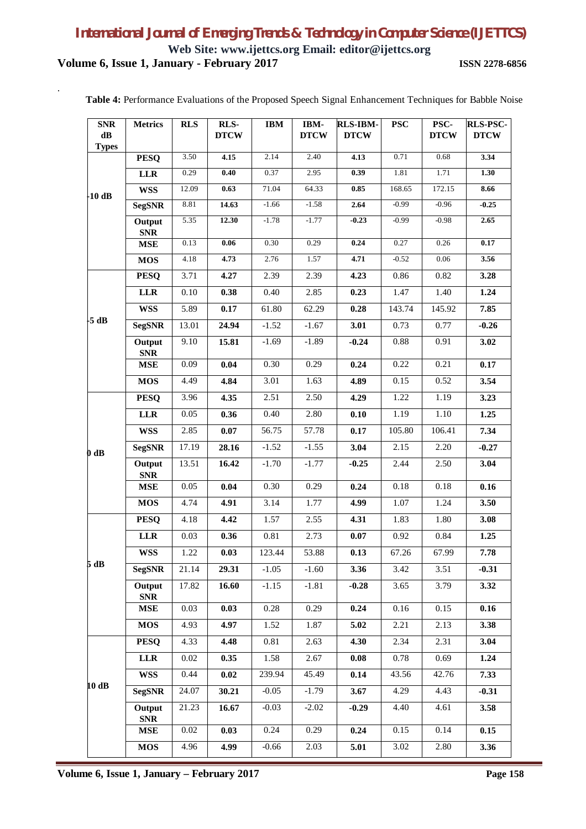**Web Site: www.ijettcs.org Email: editor@ijettcs.org Volume 6, Issue 1, January - February 2017 ISSN 2278-6856**

.

| <b>SNR</b><br>$\mathbf{dB}$<br><b>Types</b> | <b>Metrics</b>                | <b>RLS</b> | RLS-<br><b>DTCW</b> | <b>IBM</b> | IBM-<br><b>DTCW</b> | <b>RLS-IBM-</b><br><b>DTCW</b> | <b>PSC</b> | PSC-<br><b>DTCW</b> | <b>RLS-PSC-</b><br><b>DTCW</b> |
|---------------------------------------------|-------------------------------|------------|---------------------|------------|---------------------|--------------------------------|------------|---------------------|--------------------------------|
|                                             | <b>PESQ</b>                   | 3.50       | 4.15                | 2.14       | 2.40                | 4.13                           | 0.71       | 0.68                | 3.34                           |
|                                             | <b>LLR</b>                    | 0.29       | 0.40                | 0.37       | 2.95                | 0.39                           | 1.81       | 1.71                | 1.30                           |
| $-10$ dB                                    | <b>WSS</b>                    | 12.09      | 0.63                | 71.04      | 64.33               | 0.85                           | 168.65     | 172.15              | 8.66                           |
|                                             | <b>SegSNR</b>                 | 8.81       | 14.63               | $-1.66$    | $-1.58$             | 2.64                           | $-0.99$    | $-0.96$             | $-0.25$                        |
|                                             | Output<br><b>SNR</b>          | 5.35       | 12.30               | $-1.78$    | $-1.77$             | $-0.23$                        | $-0.99$    | $-0.98$             | 2.65                           |
|                                             | $\operatorname{\mathbf{MSE}}$ | 0.13       | 0.06                | 0.30       | 0.29                | 0.24                           | 0.27       | 0.26                | 0.17                           |
|                                             | <b>MOS</b>                    | 4.18       | 4.73                | 2.76       | 1.57                | 4.71                           | $-0.52$    | 0.06                | 3.56                           |
|                                             | <b>PESQ</b>                   | 3.71       | 4.27                | 2.39       | 2.39                | 4.23                           | 0.86       | 0.82                | 3.28                           |
|                                             | <b>LLR</b>                    | 0.10       | 0.38                | 0.40       | 2.85                | 0.23                           | 1.47       | 1.40                | 1.24                           |
|                                             | <b>WSS</b>                    | 5.89       | 0.17                | 61.80      | 62.29               | 0.28                           | 143.74     | 145.92              | 7.85                           |
| $-5$ dB                                     | <b>SegSNR</b>                 | 13.01      | 24.94               | $-1.52$    | $-1.67$             | 3.01                           | 0.73       | 0.77                | $-0.26$                        |
|                                             | Output<br><b>SNR</b>          | 9.10       | 15.81               | $-1.69$    | $-1.89$             | $-0.24$                        | 0.88       | 0.91                | 3.02                           |
|                                             | <b>MSE</b>                    | 0.09       | 0.04                | 0.30       | 0.29                | 0.24                           | 0.22       | 0.21                | 0.17                           |
|                                             | <b>MOS</b>                    | 4.49       | 4.84                | 3.01       | 1.63                | 4.89                           | 0.15       | 0.52                | 3.54                           |
| $0$ dB                                      | <b>PESQ</b>                   | 3.96       | 4.35                | 2.51       | 2.50                | 4.29                           | 1.22       | 1.19                | 3.23                           |
|                                             | <b>LLR</b>                    | 0.05       | 0.36                | 0.40       | 2.80                | 0.10                           | 1.19       | 1.10                | 1.25                           |
|                                             | <b>WSS</b>                    | 2.85       | 0.07                | 56.75      | 57.78               | 0.17                           | 105.80     | 106.41              | 7.34                           |
|                                             | <b>SegSNR</b>                 | 17.19      | 28.16               | $-1.52$    | $-1.55$             | 3.04                           | 2.15       | 2.20                | $-0.27$                        |
|                                             | Output<br><b>SNR</b>          | 13.51      | 16.42               | $-1.70$    | $-1.77$             | $-0.25$                        | 2.44       | 2.50                | 3.04                           |
|                                             | <b>MSE</b>                    | 0.05       | 0.04                | 0.30       | 0.29                | 0.24                           | 0.18       | 0.18                | 0.16                           |
|                                             | <b>MOS</b>                    | 4.74       | 4.91                | 3.14       | 1.77                | 4.99                           | 1.07       | 1.24                | 3.50                           |
|                                             | <b>PESQ</b>                   | 4.18       | 4.42                | 1.57       | 2.55                | 4.31                           | 1.83       | 1.80                | 3.08                           |
|                                             | <b>LLR</b>                    | 0.03       | 0.36                | 0.81       | 2.73                | 0.07                           | 0.92       | 0.84                | 1.25                           |
|                                             | <b>WSS</b>                    | 1.22       | 0.03                | 123.44     | 53.88               | 0.13                           | 67.26      | 67.99               | 7.78                           |
| 5 dB                                        | <b>SegSNR</b>                 | 21.14      | 29.31               | $-1.05$    | $-1.60$             | 3.36                           | 3.42       | 3.51                | $-0.31$                        |
|                                             | Output<br><b>SNR</b>          | 17.82      | 16.60               | $-1.15$    | $-1.81$             | $-0.28$                        | 3.65       | 3.79                | 3.32                           |
|                                             | <b>MSE</b>                    | 0.03       | 0.03                | 0.28       | 0.29                | 0.24                           | 0.16       | 0.15                | 0.16                           |
|                                             | <b>MOS</b>                    | 4.93       | 4.97                | 1.52       | 1.87                | 5.02                           | 2.21       | 2.13                | 3.38                           |
|                                             | <b>PESQ</b>                   | 4.33       | 4.48                | 0.81       | 2.63                | 4.30                           | 2.34       | 2.31                | 3.04                           |
|                                             | <b>LLR</b>                    | 0.02       | 0.35                | 1.58       | 2.67                | 0.08                           | 0.78       | 0.69                | 1.24                           |
|                                             | <b>WSS</b>                    | 0.44       | 0.02                | 239.94     | 45.49               | 0.14                           | 43.56      | 42.76               | 7.33                           |
| 10 dB                                       | <b>SegSNR</b>                 | 24.07      | 30.21               | $-0.05$    | $-1.79$             | 3.67                           | 4.29       | 4.43                | $-0.31$                        |
|                                             | Output<br><b>SNR</b>          | 21.23      | 16.67               | $-0.03$    | $-2.02$             | $-0.29$                        | 4.40       | 4.61                | 3.58                           |
|                                             | <b>MSE</b>                    | 0.02       | 0.03                | 0.24       | 0.29                | 0.24                           | 0.15       | 0.14                | 0.15                           |
|                                             | <b>MOS</b>                    | 4.96       | 4.99                | $-0.66$    | 2.03                | 5.01                           | 3.02       | 2.80                | 3.36                           |

**Table 4:** Performance Evaluations of the Proposed Speech Signal Enhancement Techniques for Babble Noise

**Volume 6, Issue 1, January – February 2017 Page 158**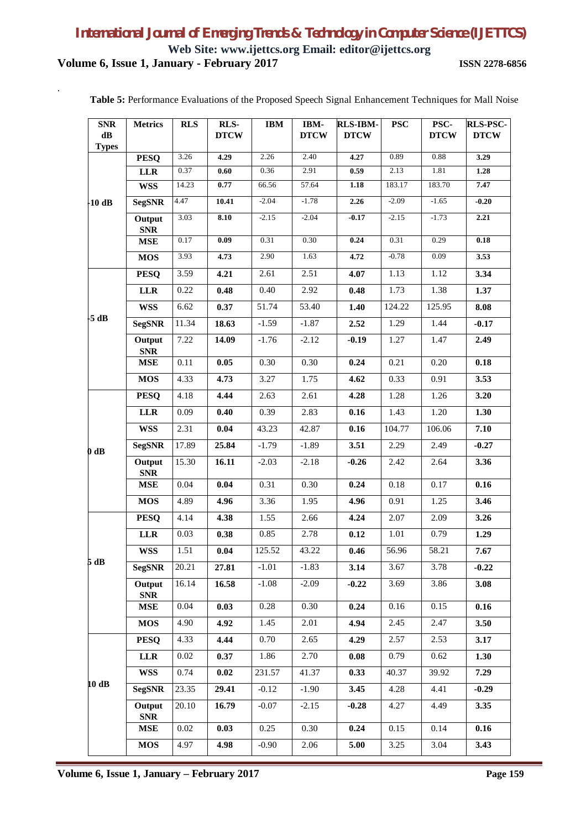**Web Site: www.ijettcs.org Email: editor@ijettcs.org Volume 6, Issue 1, January - February 2017 ISSN 2278-6856**

.

| <b>SNR</b><br>$\mathbf{dB}$<br><b>Types</b> | <b>Metrics</b>       | <b>RLS</b> | RLS-<br><b>DTCW</b> | <b>IBM</b> | IBM-<br><b>DTCW</b> | <b>RLS-IBM-</b><br><b>DTCW</b> | <b>PSC</b> | PSC-<br><b>DTCW</b> | <b>RLS-PSC-</b><br><b>DTCW</b> |
|---------------------------------------------|----------------------|------------|---------------------|------------|---------------------|--------------------------------|------------|---------------------|--------------------------------|
|                                             | <b>PESQ</b>          | 3.26       | 4.29                | 2.26       | 2.40                | 4.27                           | 0.89       | 0.88                | 3.29                           |
|                                             | <b>LLR</b>           | 0.37       | 0.60                | 0.36       | 2.91                | 0.59                           | 2.13       | 1.81                | 1.28                           |
|                                             | <b>WSS</b>           | 14.23      | 0.77                | 66.56      | 57.64               | 1.18                           | 183.17     | 183.70              | 7.47                           |
| $-10$ dB                                    | <b>SegSNR</b>        | 4.47       | 10.41               | $-2.04$    | $-1.78$             | 2.26                           | $-2.09$    | $-1.65$             | $-0.20$                        |
|                                             | Output<br><b>SNR</b> | 3.03       | 8.10                | $-2.15$    | $-2.04$             | $-0.17$                        | $-2.15$    | $-1.73$             | 2.21                           |
|                                             | <b>MSE</b>           | 0.17       | 0.09                | 0.31       | 0.30                | 0.24                           | 0.31       | 0.29                | 0.18                           |
|                                             | <b>MOS</b>           | 3.93       | 4.73                | 2.90       | 1.63                | 4.72                           | $-0.78$    | 0.09                | 3.53                           |
|                                             | <b>PESQ</b>          | 3.59       | 4.21                | 2.61       | 2.51                | 4.07                           | 1.13       | 1.12                | 3.34                           |
|                                             | <b>LLR</b>           | 0.22       | 0.48                | 0.40       | 2.92                | 0.48                           | 1.73       | 1.38                | 1.37                           |
|                                             | <b>WSS</b>           | 6.62       | 0.37                | 51.74      | 53.40               | 1.40                           | 124.22     | 125.95              | 8.08                           |
| $-5$ dB                                     | <b>SegSNR</b>        | 11.34      | 18.63               | $-1.59$    | $-1.87$             | 2.52                           | 1.29       | 1.44                | $-0.17$                        |
|                                             | Output<br><b>SNR</b> | 7.22       | 14.09               | $-1.76$    | $-2.12$             | $-0.19$                        | 1.27       | 1.47                | 2.49                           |
|                                             | <b>MSE</b>           | 0.11       | 0.05                | 0.30       | 0.30                | 0.24                           | 0.21       | 0.20                | 0.18                           |
|                                             | <b>MOS</b>           | 4.33       | 4.73                | 3.27       | 1.75                | 4.62                           | 0.33       | 0.91                | 3.53                           |
| $0$ dB                                      | <b>PESQ</b>          | 4.18       | 4.44                | 2.63       | 2.61                | 4.28                           | 1.28       | 1.26                | 3.20                           |
|                                             | <b>LLR</b>           | 0.09       | 0.40                | 0.39       | 2.83                | 0.16                           | 1.43       | 1.20                | 1.30                           |
|                                             | <b>WSS</b>           | 2.31       | 0.04                | 43.23      | 42.87               | 0.16                           | 104.77     | 106.06              | 7.10                           |
|                                             | <b>SegSNR</b>        | 17.89      | 25.84               | $-1.79$    | $-1.89$             | 3.51                           | 2.29       | 2.49                | $-0.27$                        |
|                                             | Output<br><b>SNR</b> | 15.30      | 16.11               | $-2.03$    | $-2.18$             | $-0.26$                        | 2.42       | 2.64                | 3.36                           |
|                                             | <b>MSE</b>           | 0.04       | 0.04                | 0.31       | 0.30                | 0.24                           | 0.18       | 0.17                | 0.16                           |
|                                             | <b>MOS</b>           | 4.89       | 4.96                | 3.36       | 1.95                | 4.96                           | 0.91       | 1.25                | 3.46                           |
|                                             | <b>PESQ</b>          | 4.14       | 4.38                | 1.55       | 2.66                | 4.24                           | 2.07       | 2.09                | 3.26                           |
|                                             | <b>LLR</b>           | 0.03       | 0.38                | 0.85       | 2.78                | 0.12                           | 1.01       | 0.79                | 1.29                           |
|                                             | <b>WSS</b>           | 1.51       | 0.04                | 125.52     | 43.22               | 0.46                           | 56.96      | 58.21               | 7.67                           |
| 5 dB                                        | <b>SegSNR</b>        | 20.21      | 27.81               | $-1.01$    | $-1.83$             | 3.14                           | 3.67       | 3.78                | $-0.22$                        |
|                                             | Output<br><b>SNR</b> | 16.14      | 16.58               | $-1.08$    | $-2.09$             | $-0.22$                        | 3.69       | 3.86                | 3.08                           |
|                                             | <b>MSE</b>           | 0.04       | 0.03                | 0.28       | 0.30                | 0.24                           | 0.16       | 0.15                | 0.16                           |
|                                             | <b>MOS</b>           | 4.90       | 4.92                | 1.45       | 2.01                | 4.94                           | 2.45       | 2.47                | 3.50                           |
|                                             | <b>PESQ</b>          | 4.33       | 4.44                | 0.70       | 2.65                | 4.29                           | 2.57       | 2.53                | 3.17                           |
|                                             | <b>LLR</b>           | 0.02       | 0.37                | 1.86       | 2.70                | 0.08                           | 0.79       | 0.62                | 1.30                           |
|                                             | <b>WSS</b>           | 0.74       | 0.02                | 231.57     | 41.37               | 0.33                           | 40.37      | 39.92               | 7.29                           |
| 10 dB                                       | <b>SegSNR</b>        | 23.35      | 29.41               | $-0.12$    | $-1.90$             | 3.45                           | 4.28       | 4.41                | $-0.29$                        |
|                                             | Output<br><b>SNR</b> | 20.10      | 16.79               | $-0.07$    | $-2.15$             | $-0.28$                        | 4.27       | 4.49                | 3.35                           |
|                                             | <b>MSE</b>           | 0.02       | 0.03                | 0.25       | 0.30                | 0.24                           | 0.15       | 0.14                | 0.16                           |
|                                             | <b>MOS</b>           | 4.97       | 4.98                | $-0.90$    | 2.06                | 5.00                           | 3.25       | 3.04                | 3.43                           |

**Table 5:** Performance Evaluations of the Proposed Speech Signal Enhancement Techniques for Mall Noise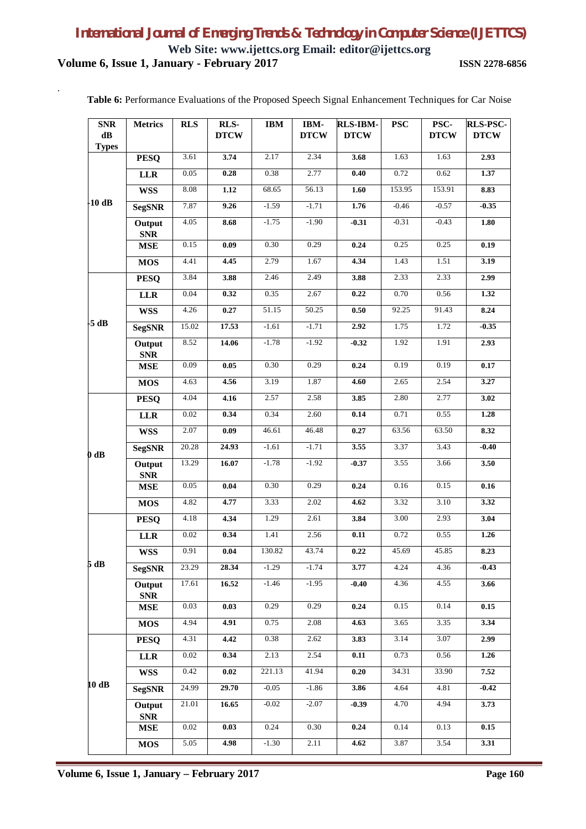### **Web Site: www.ijettcs.org Email: editor@ijettcs.org Volume 6, Issue 1, January - February 2017 ISSN 2278-6856**

.

| <b>SNR</b><br>$\mathbf{dB}$ | <b>Metrics</b>       | <b>RLS</b> | RLS-<br><b>DTCW</b> | <b>IBM</b> | <b>IBM-</b><br><b>DTCW</b> | <b>RLS-IBM-</b><br><b>DTCW</b> | <b>PSC</b> | PSC-<br><b>DTCW</b> | <b>RLS-PSC-</b><br><b>DTCW</b> |
|-----------------------------|----------------------|------------|---------------------|------------|----------------------------|--------------------------------|------------|---------------------|--------------------------------|
| <b>Types</b>                |                      | 3.61       | 3.74                | 2.17       | 2.34                       | 3.68                           | 1.63       | 1.63                | 2.93                           |
|                             | <b>PESQ</b>          |            |                     |            |                            |                                |            |                     |                                |
|                             | <b>LLR</b>           | 0.05       | 0.28                | 0.38       | 2.77                       | 0.40                           | 0.72       | 0.62                | 1.37                           |
| $-10dB$                     | <b>WSS</b>           | 8.08       | 1.12                | 68.65      | 56.13                      | 1.60                           | 153.95     | 153.91              | 8.83                           |
|                             | <b>SegSNR</b>        | 7.87       | 9.26                | $-1.59$    | $-1.71$                    | 1.76                           | $-0.46$    | $-0.57$             | $-0.35$                        |
|                             | Output<br><b>SNR</b> | 4.05       | 8.68                | $-1.75$    | $-1.90$                    | $-0.31$                        | $-0.31$    | $-0.43$             | 1.80                           |
|                             | <b>MSE</b>           | 0.15       | 0.09                | 0.30       | 0.29                       | 0.24                           | 0.25       | 0.25                | 0.19                           |
|                             | <b>MOS</b>           | 4.41       | 4.45                | 2.79       | 1.67                       | 4.34                           | 1.43       | 1.51                | 3.19                           |
|                             | <b>PESQ</b>          | 3.84       | 3.88                | 2.46       | 2.49                       | 3.88                           | 2.33       | 2.33                | 2.99                           |
|                             | <b>LLR</b>           | 0.04       | 0.32                | 0.35       | 2.67                       | 0.22                           | 0.70       | 0.56                | 1.32                           |
|                             | <b>WSS</b>           | 4.26       | 0.27                | 51.15      | 50.25                      | 0.50                           | 92.25      | 91.43               | 8.24                           |
| -5 dB                       | <b>SegSNR</b>        | 15.02      | 17.53               | $-1.61$    | $-1.71$                    | 2.92                           | 1.75       | 1.72                | $-0.35$                        |
|                             | Output<br><b>SNR</b> | 8.52       | 14.06               | $-1.78$    | $-1.92$                    | $-0.32$                        | 1.92       | 1.91                | 2.93                           |
|                             | <b>MSE</b>           | 0.09       | 0.05                | 0.30       | 0.29                       | 0.24                           | 0.19       | 0.19                | 0.17                           |
|                             | <b>MOS</b>           | 4.63       | 4.56                | 3.19       | 1.87                       | 4.60                           | 2.65       | 2.54                | 3.27                           |
|                             | <b>PESQ</b>          | 4.04       | 4.16                | 2.57       | 2.58                       | 3.85                           | 2.80       | 2.77                | 3.02                           |
|                             | <b>LLR</b>           | 0.02       | 0.34                | 0.34       | 2.60                       | 0.14                           | 0.71       | 0.55                | 1.28                           |
|                             | <b>WSS</b>           | 2.07       | $0.09\,$            | 46.61      | 46.48                      | 0.27                           | 63.56      | 63.50               | 8.32                           |
| $0$ dB                      | <b>SegSNR</b>        | 20.28      | 24.93               | $-1.61$    | $-1.71$                    | 3.55                           | 3.37       | 3.43                | $-0.40$                        |
|                             | Output<br><b>SNR</b> | 13.29      | 16.07               | $-1.78$    | $-1.92$                    | $-0.37$                        | 3.55       | 3.66                | 3.50                           |
|                             | <b>MSE</b>           | 0.05       | 0.04                | 0.30       | 0.29                       | 0.24                           | 0.16       | 0.15                | 0.16                           |
|                             | <b>MOS</b>           | 4.82       | 4.77                | 3.33       | 2.02                       | 4.62                           | 3.32       | 3.10                | 3.32                           |
|                             | <b>PESQ</b>          | 4.18       | 4.34                | 1.29       | 2.61                       | 3.84                           | 3.00       | 2.93                | 3.04                           |
|                             | ${\bf LLR}$          | $0.02\,$   | 0.34                | 1.41       | 2.56                       | $0.11\,$                       | 0.72       | 0.55                | 1.26                           |
|                             | <b>WSS</b>           | 0.91       | 0.04                | 130.82     | 43.74                      | $0.22\,$                       | 45.69      | 45.85               | 8.23                           |
| 5 dB                        | <b>SegSNR</b>        | 23.29      | 28.34               | $-1.29$    | $-1.74$                    | 3.77                           | 4.24       | 4.36                | $-0.43$                        |
|                             | Output<br><b>SNR</b> | 17.61      | 16.52               | $-1.46$    | $-1.95$                    | $-0.40$                        | 4.36       | 4.55                | 3.66                           |
|                             | <b>MSE</b>           | 0.03       | 0.03                | 0.29       | 0.29                       | 0.24                           | 0.15       | 0.14                | 0.15                           |
|                             | <b>MOS</b>           | 4.94       | 4.91                | 0.75       | 2.08                       | 4.63                           | 3.65       | 3.35                | 3.34                           |
|                             | <b>PESQ</b>          | 4.31       | 4.42                | 0.38       | 2.62                       | 3.83                           | 3.14       | 3.07                | 2.99                           |
|                             | <b>LLR</b>           | 0.02       | 0.34                | 2.13       | 2.54                       | 0.11                           | 0.73       | 0.56                | 1.26                           |
|                             | <b>WSS</b>           | 0.42       | 0.02                | 221.13     | 41.94                      | 0.20                           | 34.31      | 33.90               | 7.52                           |
| 10dB                        | <b>SegSNR</b>        | 24.99      | 29.70               | $-0.05$    | $-1.86$                    | 3.86                           | 4.64       | 4.81                | $-0.42$                        |
|                             | Output<br><b>SNR</b> | 21.01      | 16.65               | $-0.02$    | $-2.07$                    | $-0.39$                        | 4.70       | 4.94                | 3.73                           |
|                             | <b>MSE</b>           | 0.02       | 0.03                | 0.24       | 0.30                       | 0.24                           | 0.14       | 0.13                | 0.15                           |
|                             | <b>MOS</b>           | 5.05       | 4.98                | $-1.30$    | 2.11                       | 4.62                           | 3.87       | 3.54                | 3.31                           |

**Table 6:** Performance Evaluations of the Proposed Speech Signal Enhancement Techniques for Car Noise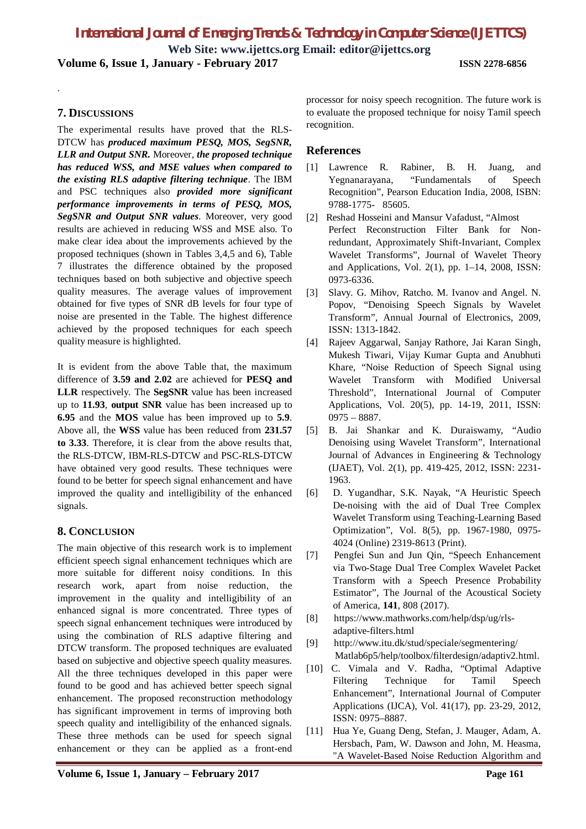**Web Site: www.ijettcs.org Email: editor@ijettcs.org Volume 6, Issue 1, January - February 2017 ISSN 2278-6856**

### **7. DISCUSSIONS**

.

The experimental results have proved that the RLS-DTCW has *produced maximum PESQ, MOS, SegSNR, LLR and Output SNR.* Moreover, *the proposed technique has reduced WSS, and MSE values when compared to the existing RLS adaptive filtering technique*. The IBM and PSC techniques also *provided more significant performance improvements in terms of PESQ, MOS, SegSNR and Output SNR values*. Moreover, very good results are achieved in reducing WSS and MSE also. To make clear idea about the improvements achieved by the proposed techniques (shown in Tables 3,4,5 and 6), Table 7 illustrates the difference obtained by the proposed techniques based on both subjective and objective speech quality measures. The average values of improvement obtained for five types of SNR dB levels for four type of noise are presented in the Table. The highest difference achieved by the proposed techniques for each speech quality measure is highlighted.

It is evident from the above Table that, the maximum difference of **3.59 and 2.02** are achieved for **PESQ and LLR** respectively. The **SegSNR** value has been increased up to **11.93**, **output SNR** value has been increased up to **6.95** and the **MOS** value has been improved up to **5.9**. Above all, the **WSS** value has been reduced from **231.57 to 3.33**. Therefore, it is clear from the above results that, the RLS-DTCW, IBM-RLS-DTCW and PSC-RLS-DTCW have obtained very good results. These techniques were found to be better for speech signal enhancement and have improved the quality and intelligibility of the enhanced signals.

### **8. CONCLUSION**

The main objective of this research work is to implement efficient speech signal enhancement techniques which are more suitable for different noisy conditions. In this research work, apart from noise reduction, the improvement in the quality and intelligibility of an enhanced signal is more concentrated. Three types of speech signal enhancement techniques were introduced by using the combination of RLS adaptive filtering and DTCW transform. The proposed techniques are evaluated based on subjective and objective speech quality measures. All the three techniques developed in this paper were found to be good and has achieved better speech signal enhancement. The proposed reconstruction methodology has significant improvement in terms of improving both speech quality and intelligibility of the enhanced signals. These three methods can be used for speech signal enhancement or they can be applied as a front-end

processor for noisy speech recognition. The future work is to evaluate the proposed technique for noisy Tamil speech recognition.

### **References**

- [1] Lawrence R. Rabiner, B. H. Juang, and Yegnanarayana, "Fundamentals of Speech Recognition", Pearson Education India, 2008, ISBN: 9788-1775- 85605.
- [2] Reshad Hosseini and Mansur Vafadust, "Almost Perfect Reconstruction Filter Bank for Nonredundant, Approximately Shift-Invariant, Complex Wavelet Transforms", Journal of Wavelet Theory and Applications, Vol. 2(1), pp. 1–14, 2008, ISSN: 0973-6336.
- [3] Slavy. G. Mihov, Ratcho. M. Ivanov and Angel. N. Popov, "Denoising Speech Signals by Wavelet Transform", Annual Journal of Electronics, 2009, ISSN: 1313-1842.
- [4] Rajeev Aggarwal, Sanjay Rathore, Jai Karan Singh, Mukesh Tiwari, Vijay Kumar Gupta and Anubhuti Khare, "Noise Reduction of Speech Signal using Wavelet Transform with Modified Universal Threshold", International Journal of Computer Applications, Vol. 20(5), pp. 14-19, 2011, ISSN: 0975 – 8887.
- [5] B. Jai Shankar and K. Duraiswamy, "Audio Denoising using Wavelet Transform", International Journal of Advances in Engineering & Technology (IJAET), Vol. 2(1), pp. 419-425, 2012, ISSN: 2231- 1963.
- [6] D. Yugandhar, S.K. Nayak, "A Heuristic Speech De-noising with the aid of Dual Tree Complex Wavelet Transform using Teaching-Learning Based Optimization", Vol. 8(5), pp. 1967-1980, 0975- 4024 (Online) 2319-8613 (Print).
- [7] Pengfei Sun and Jun Qin, "Speech Enhancement via Two-Stage Dual Tree Complex Wavelet Packet Transform with a Speech Presence Probability Estimator", The Journal of the Acoustical Society of America, **141**, 808 (2017).
- [8] https://www.mathworks.com/help/dsp/ug/rlsadaptive-filters.html
- [9] http://www.itu.dk/stud/speciale/segmentering/ Matlab6p5/help/toolbox/filterdesign/adaptiv2.html.
- [10] C. Vimala and V. Radha, "Optimal Adaptive Filtering Technique for Tamil Speech Enhancement", International Journal of Computer Applications (IJCA), Vol. 41(17), pp. 23-29, 2012, ISSN: 0975–8887.
- [11] Hua Ye, Guang Deng, Stefan, J. Mauger, Adam, A. Hersbach, Pam, W. Dawson and John, M. Heasma, "A Wavelet-Based Noise Reduction Algorithm and